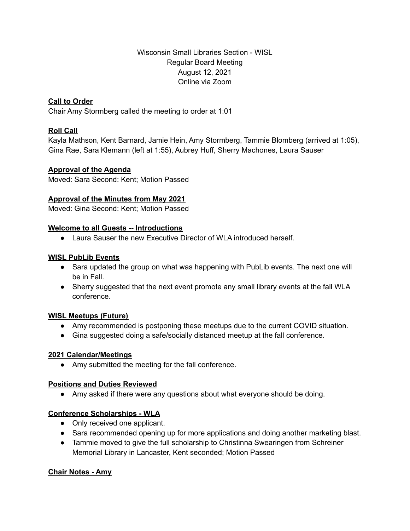Wisconsin Small Libraries Section - WISL Regular Board Meeting August 12, 2021 Online via Zoom

# **Call to Order**

Chair Amy Stormberg called the meeting to order at 1:01

# **Roll Call**

Kayla Mathson, Kent Barnard, Jamie Hein, Amy Stormberg, Tammie Blomberg (arrived at 1:05), Gina Rae, Sara Klemann (left at 1:55), Aubrey Huff, Sherry Machones, Laura Sauser

## **Approval of the Agenda**

Moved: Sara Second: Kent; Motion Passed

## **Approval of the Minutes from May 2021**

Moved: Gina Second: Kent; Motion Passed

## **Welcome to all Guests -- Introductions**

● Laura Sauser the new Executive Director of WLA introduced herself.

## **WISL PubLib Events**

- Sara updated the group on what was happening with PubLib events. The next one will be in Fall.
- Sherry suggested that the next event promote any small library events at the fall WLA conference.

# **WISL Meetups (Future)**

- Amy recommended is postponing these meetups due to the current COVID situation.
- Gina suggested doing a safe/socially distanced meetup at the fall conference.

# **2021 Calendar/Meetings**

● Amy submitted the meeting for the fall conference.

# **Positions and Duties Reviewed**

● Amy asked if there were any questions about what everyone should be doing.

# **Conference Scholarships - WLA**

- Only received one applicant.
- Sara recommended opening up for more applications and doing another marketing blast.
- Tammie moved to give the full scholarship to Christinna Swearingen from Schreiner Memorial Library in Lancaster, Kent seconded; Motion Passed

# **Chair Notes - Amy**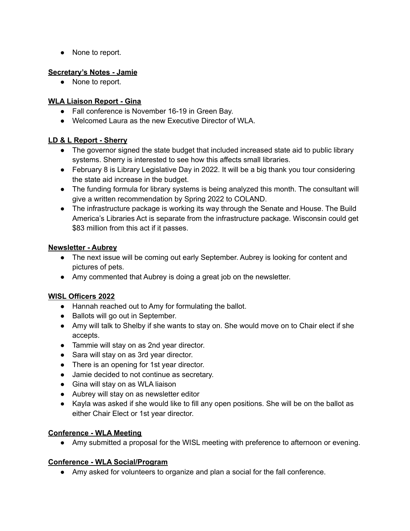● None to report.

# **Secretary's Notes - Jamie**

● None to report.

# **WLA Liaison Report - Gina**

- Fall conference is November 16-19 in Green Bay.
- Welcomed Laura as the new Executive Director of WLA.

# **LD & L Report - Sherry**

- The governor signed the state budget that included increased state aid to public library systems. Sherry is interested to see how this affects small libraries.
- February 8 is Library Legislative Day in 2022. It will be a big thank you tour considering the state aid increase in the budget.
- The funding formula for library systems is being analyzed this month. The consultant will give a written recommendation by Spring 2022 to COLAND.
- The infrastructure package is working its way through the Senate and House. The Build America's Libraries Act is separate from the infrastructure package. Wisconsin could get \$83 million from this act if it passes.

# **Newsletter - Aubrey**

- The next issue will be coming out early September. Aubrey is looking for content and pictures of pets.
- Amy commented that Aubrey is doing a great job on the newsletter.

# **WISL Officers 2022**

- Hannah reached out to Amy for formulating the ballot.
- Ballots will go out in September.
- Amy will talk to Shelby if she wants to stay on. She would move on to Chair elect if she accepts.
- Tammie will stay on as 2nd year director.
- Sara will stay on as 3rd year director.
- There is an opening for 1st year director.
- Jamie decided to not continue as secretary.
- Gina will stay on as WLA liaison
- Aubrey will stay on as newsletter editor
- Kayla was asked if she would like to fill any open positions. She will be on the ballot as either Chair Elect or 1st year director.

# **Conference - WLA Meeting**

• Amy submitted a proposal for the WISL meeting with preference to afternoon or evening.

# **Conference - WLA Social/Program**

● Amy asked for volunteers to organize and plan a social for the fall conference.